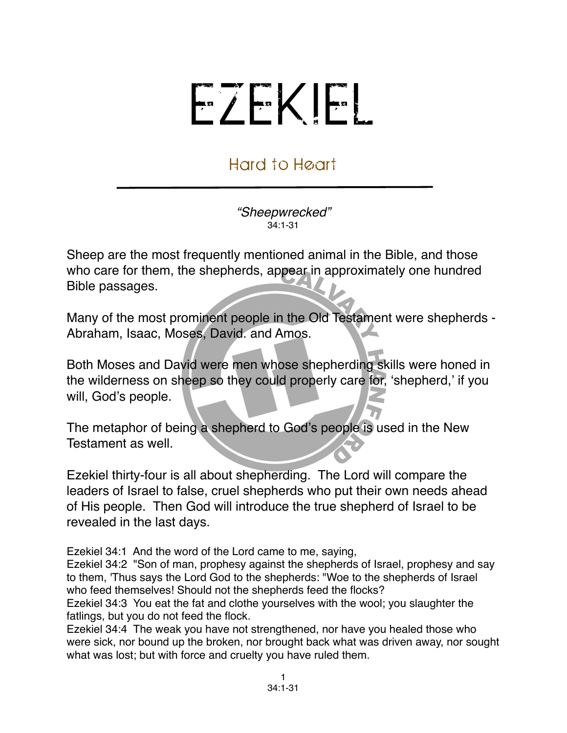## EZEKIEL

## Hard to Heart

*"Sheepwrecked"* 34:1-31

Sheep are the most frequently mentioned animal in the Bible, and those who care for them, the shepherds, appear in approximately one hundred Bible passages.

Many of the most prominent people in the Old Testament were shepherds - Abraham, Isaac, Moses, David. and Amos.

Both Moses and David were men whose shepherding skills were honed in the wilderness on sheep so they could properly care for, ʻshepherd,' if you will, God's people.

The metaphor of being a shepherd to God's people is used in the New Testament as well.

Ezekiel thirty-four is all about shepherding. The Lord will compare the leaders of Israel to false, cruel shepherds who put their own needs ahead of His people. Then God will introduce the true shepherd of Israel to be revealed in the last days.

Ezekiel 34:1 And the word of the Lord came to me, saying,

Ezekiel 34:2 "Son of man, prophesy against the shepherds of Israel, prophesy and say to them, 'Thus says the Lord God to the shepherds: "Woe to the shepherds of Israel who feed themselves! Should not the shepherds feed the flocks?

Ezekiel 34:3 You eat the fat and clothe yourselves with the wool; you slaughter the fatlings, but you do not feed the flock.

Ezekiel 34:4 The weak you have not strengthened, nor have you healed those who were sick, nor bound up the broken, nor brought back what was driven away, nor sought what was lost; but with force and cruelty you have ruled them.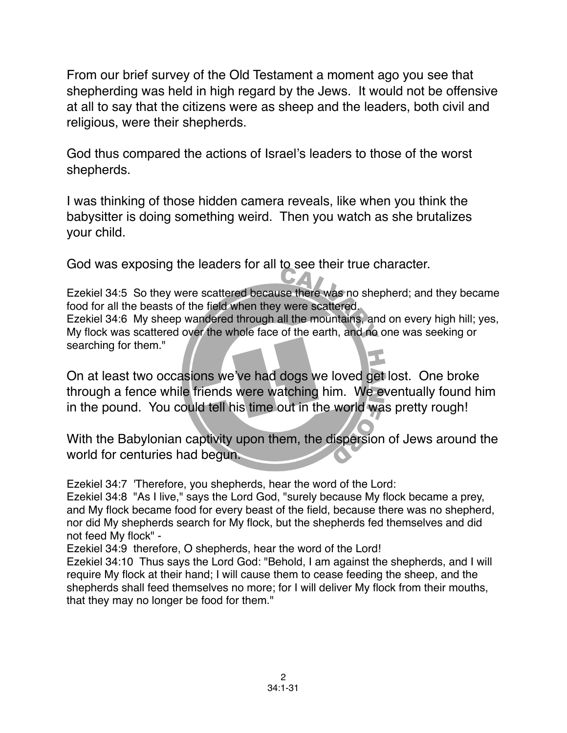From our brief survey of the Old Testament a moment ago you see that shepherding was held in high regard by the Jews. It would not be offensive at all to say that the citizens were as sheep and the leaders, both civil and religious, were their shepherds.

God thus compared the actions of Israel's leaders to those of the worst shepherds.

I was thinking of those hidden camera reveals, like when you think the babysitter is doing something weird. Then you watch as she brutalizes your child.

God was exposing the leaders for all to see their true character.

Ezekiel 34:5 So they were scattered because there was no shepherd; and they became food for all the beasts of the field when they were scattered. Ezekiel 34:6 My sheep wandered through all the mountains, and on every high hill; yes, My flock was scattered over the whole face of the earth, and no one was seeking or searching for them."

On at least two occasions we've had dogs we loved get lost. One broke through a fence while friends were watching him. We eventually found him in the pound. You could tell his time out in the world was pretty rough!

With the Babylonian captivity upon them, the dispersion of Jews around the world for centuries had begun.

Ezekiel 34:7 'Therefore, you shepherds, hear the word of the Lord:

Ezekiel 34:8 "As I live," says the Lord God, "surely because My flock became a prey, and My flock became food for every beast of the field, because there was no shepherd, nor did My shepherds search for My flock, but the shepherds fed themselves and did not feed My flock" -

Ezekiel 34:9 therefore, O shepherds, hear the word of the Lord!

Ezekiel 34:10 Thus says the Lord God: "Behold, I am against the shepherds, and I will require My flock at their hand; I will cause them to cease feeding the sheep, and the shepherds shall feed themselves no more; for I will deliver My flock from their mouths, that they may no longer be food for them."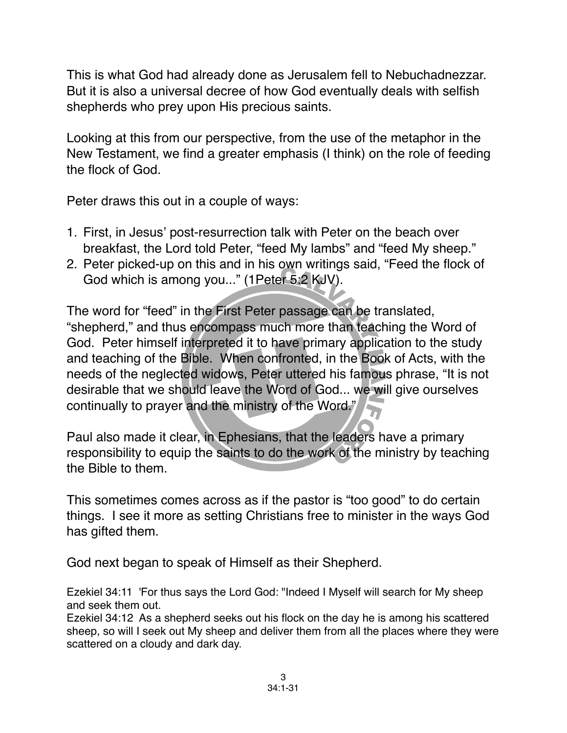This is what God had already done as Jerusalem fell to Nebuchadnezzar. But it is also a universal decree of how God eventually deals with selfish shepherds who prey upon His precious saints.

Looking at this from our perspective, from the use of the metaphor in the New Testament, we find a greater emphasis (I think) on the role of feeding the flock of God.

Peter draws this out in a couple of ways:

- 1. First, in Jesus' post-resurrection talk with Peter on the beach over breakfast, the Lord told Peter, "feed My lambs" and "feed My sheep."
- 2. Peter picked-up on this and in his own writings said, "Feed the flock of God which is among you..." (1Peter 5:2 KJV).

The word for "feed" in the First Peter passage can be translated, "shepherd," and thus encompass much more than teaching the Word of God. Peter himself interpreted it to have primary application to the study and teaching of the Bible. When confronted, in the Book of Acts, with the needs of the neglected widows, Peter uttered his famous phrase, "It is not desirable that we should leave the Word of God... we will give ourselves continually to prayer and the ministry of the Word."

Paul also made it clear, in Ephesians, that the leaders have a primary responsibility to equip the saints to do the work of the ministry by teaching the Bible to them.

This sometimes comes across as if the pastor is "too good" to do certain things. I see it more as setting Christians free to minister in the ways God has gifted them.

God next began to speak of Himself as their Shepherd.

Ezekiel 34:11 'For thus says the Lord God: "Indeed I Myself will search for My sheep and seek them out.

Ezekiel 34:12 As a shepherd seeks out his flock on the day he is among his scattered sheep, so will I seek out My sheep and deliver them from all the places where they were scattered on a cloudy and dark day.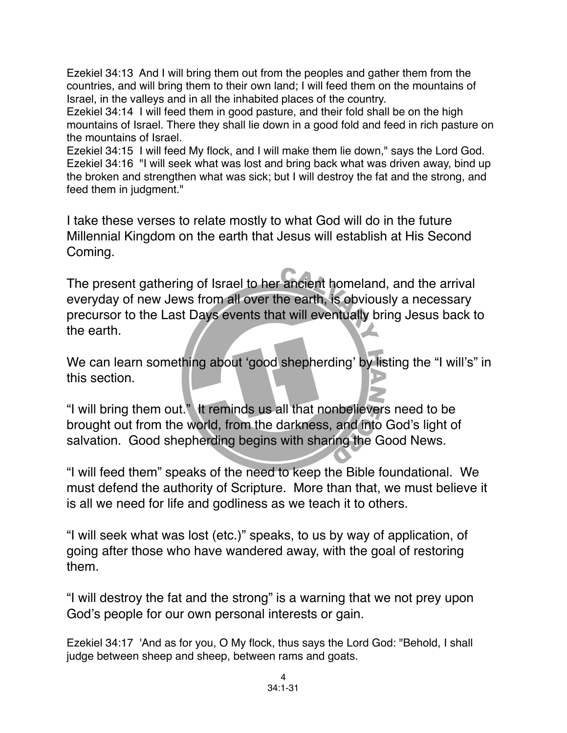Ezekiel 34:13 And I will bring them out from the peoples and gather them from the countries, and will bring them to their own land; I will feed them on the mountains of Israel, in the valleys and in all the inhabited places of the country.

Ezekiel 34:14 I will feed them in good pasture, and their fold shall be on the high mountains of Israel. There they shall lie down in a good fold and feed in rich pasture on the mountains of Israel.

Ezekiel 34:15 I will feed My flock, and I will make them lie down," says the Lord God. Ezekiel 34:16 "I will seek what was lost and bring back what was driven away, bind up the broken and strengthen what was sick; but I will destroy the fat and the strong, and feed them in judgment."

I take these verses to relate mostly to what God will do in the future Millennial Kingdom on the earth that Jesus will establish at His Second Coming.

The present gathering of Israel to her ancient homeland, and the arrival everyday of new Jews from all over the earth, is obviously a necessary precursor to the Last Days events that will eventually bring Jesus back to the earth.

We can learn something about 'good shepherding' by listing the "I will's" in this section.

"I will bring them out." It reminds us all that nonbelievers need to be brought out from the world, from the darkness, and into God's light of salvation. Good shepherding begins with sharing the Good News.

"I will feed them" speaks of the need to keep the Bible foundational. We must defend the authority of Scripture. More than that, we must believe it is all we need for life and godliness as we teach it to others.

"I will seek what was lost (etc.)" speaks, to us by way of application, of going after those who have wandered away, with the goal of restoring them.

"I will destroy the fat and the strong" is a warning that we not prey upon God's people for our own personal interests or gain.

Ezekiel 34:17 'And as for you, O My flock, thus says the Lord God: "Behold, I shall judge between sheep and sheep, between rams and goats.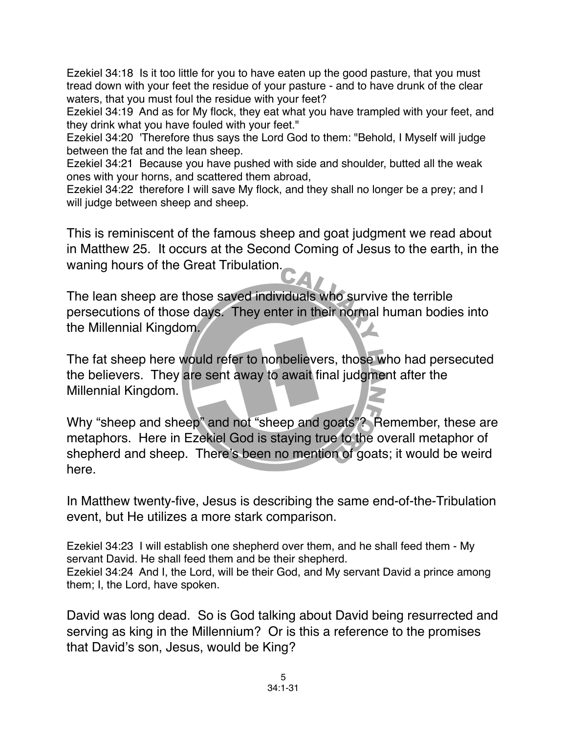Ezekiel 34:18 Is it too little for you to have eaten up the good pasture, that you must tread down with your feet the residue of your pasture - and to have drunk of the clear waters, that you must foul the residue with your feet?

Ezekiel 34:19 And as for My flock, they eat what you have trampled with your feet, and they drink what you have fouled with your feet."

Ezekiel 34:20 'Therefore thus says the Lord God to them: "Behold, I Myself will judge between the fat and the lean sheep.

Ezekiel 34:21 Because you have pushed with side and shoulder, butted all the weak ones with your horns, and scattered them abroad,

Ezekiel 34:22 therefore I will save My flock, and they shall no longer be a prey; and I will judge between sheep and sheep.

This is reminiscent of the famous sheep and goat judgment we read about in Matthew 25. It occurs at the Second Coming of Jesus to the earth, in the waning hours of the Great Tribulation.

The lean sheep are those saved individuals who survive the terrible persecutions of those days. They enter in their normal human bodies into the Millennial Kingdom.

The fat sheep here would refer to nonbelievers, those who had persecuted the believers. They are sent away to await final judgment after the Millennial Kingdom.

Why "sheep and sheep" and not "sheep and goats"? Remember, these are metaphors. Here in Ezekiel God is staying true to the overall metaphor of shepherd and sheep. There's been no mention of goats; it would be weird here.

In Matthew twenty-five, Jesus is describing the same end-of-the-Tribulation event, but He utilizes a more stark comparison.

Ezekiel 34:23 I will establish one shepherd over them, and he shall feed them - My servant David. He shall feed them and be their shepherd. Ezekiel 34:24 And I, the Lord, will be their God, and My servant David a prince among them; I, the Lord, have spoken.

David was long dead. So is God talking about David being resurrected and serving as king in the Millennium? Or is this a reference to the promises that David's son, Jesus, would be King?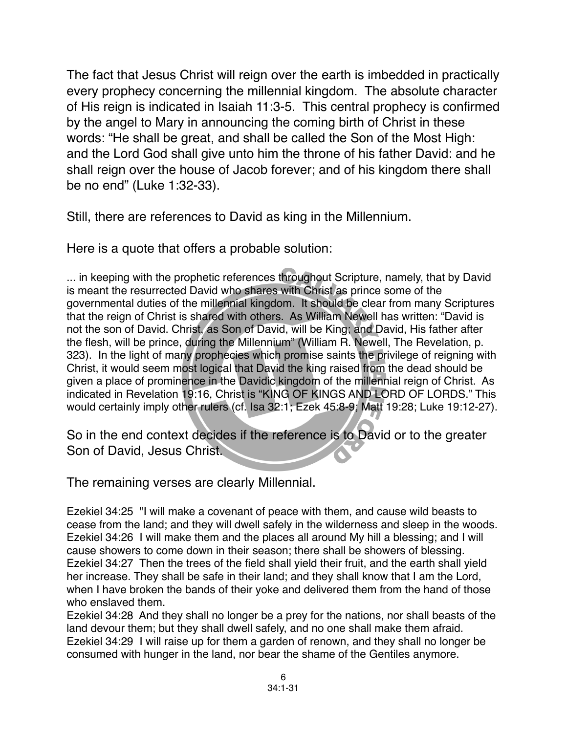The fact that Jesus Christ will reign over the earth is imbedded in practically every prophecy concerning the millennial kingdom. The absolute character of His reign is indicated in Isaiah 11:3-5. This central prophecy is confirmed by the angel to Mary in announcing the coming birth of Christ in these words: "He shall be great, and shall be called the Son of the Most High: and the Lord God shall give unto him the throne of his father David: and he shall reign over the house of Jacob forever; and of his kingdom there shall be no end" (Luke 1:32-33).

Still, there are references to David as king in the Millennium.

Here is a quote that offers a probable solution:

... in keeping with the prophetic references throughout Scripture, namely, that by David is meant the resurrected David who shares with Christ as prince some of the governmental duties of the millennial kingdom. It should be clear from many Scriptures that the reign of Christ is shared with others. As William Newell has written: "David is not the son of David. Christ, as Son of David, will be King; and David, His father after the flesh, will be prince, during the Millennium" (William R. Newell, The Revelation, p. 323). In the light of many prophecies which promise saints the privilege of reigning with Christ, it would seem most logical that David the king raised from the dead should be given a place of prominence in the Davidic kingdom of the millennial reign of Christ. As indicated in Revelation 19:16, Christ is "KING OF KINGS AND LORD OF LORDS." This would certainly imply other rulers (cf. Isa 32:1; Ezek 45:8-9; Matt 19:28; Luke 19:12-27).

So in the end context decides if the reference is to David or to the greater Son of David, Jesus Christ.

The remaining verses are clearly Millennial.

Ezekiel 34:25 "I will make a covenant of peace with them, and cause wild beasts to cease from the land; and they will dwell safely in the wilderness and sleep in the woods. Ezekiel 34:26 I will make them and the places all around My hill a blessing; and I will cause showers to come down in their season; there shall be showers of blessing. Ezekiel 34:27 Then the trees of the field shall yield their fruit, and the earth shall yield her increase. They shall be safe in their land; and they shall know that I am the Lord, when I have broken the bands of their yoke and delivered them from the hand of those who enslaved them.

Ezekiel 34:28 And they shall no longer be a prey for the nations, nor shall beasts of the land devour them; but they shall dwell safely, and no one shall make them afraid. Ezekiel 34:29 I will raise up for them a garden of renown, and they shall no longer be consumed with hunger in the land, nor bear the shame of the Gentiles anymore.